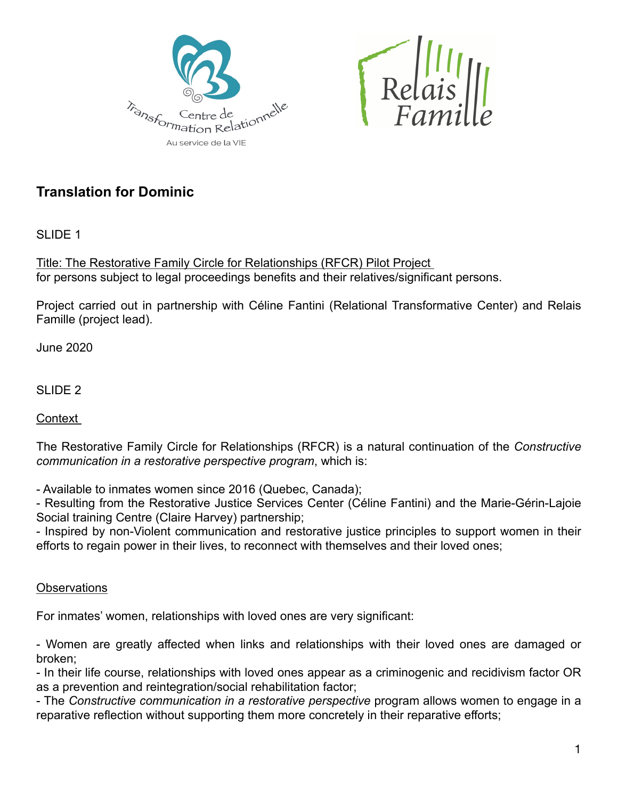



## **Translation for Dominic**

SLIDE 1

Title: The Restorative Family Circle for Relationships (RFCR) Pilot Project for persons subject to legal proceedings benefits and their relatives/significant persons.

Project carried out in partnership with Céline Fantini (Relational Transformative Center) and Relais Famille (project lead).

June 2020

SLIDE<sub>2</sub>

Context

The Restorative Family Circle for Relationships (RFCR) is a natural continuation of the *Constructive communication in a restorative perspective program*, which is:

- Available to inmates women since 2016 (Quebec, Canada);

- Resulting from the Restorative Justice Services Center (Céline Fantini) and the Marie-Gérin-Lajoie Social training Centre (Claire Harvey) partnership;

- Inspired by non-Violent communication and restorative justice principles to support women in their efforts to regain power in their lives, to reconnect with themselves and their loved ones;

**Observations** 

For inmates' women, relationships with loved ones are very significant:

- Women are greatly affected when links and relationships with their loved ones are damaged or broken;

- In their life course, relationships with loved ones appear as a criminogenic and recidivism factor OR as a prevention and reintegration/social rehabilitation factor;

- The *Constructive communication in a restorative perspective* program allows women to engage in a reparative reflection without supporting them more concretely in their reparative efforts;